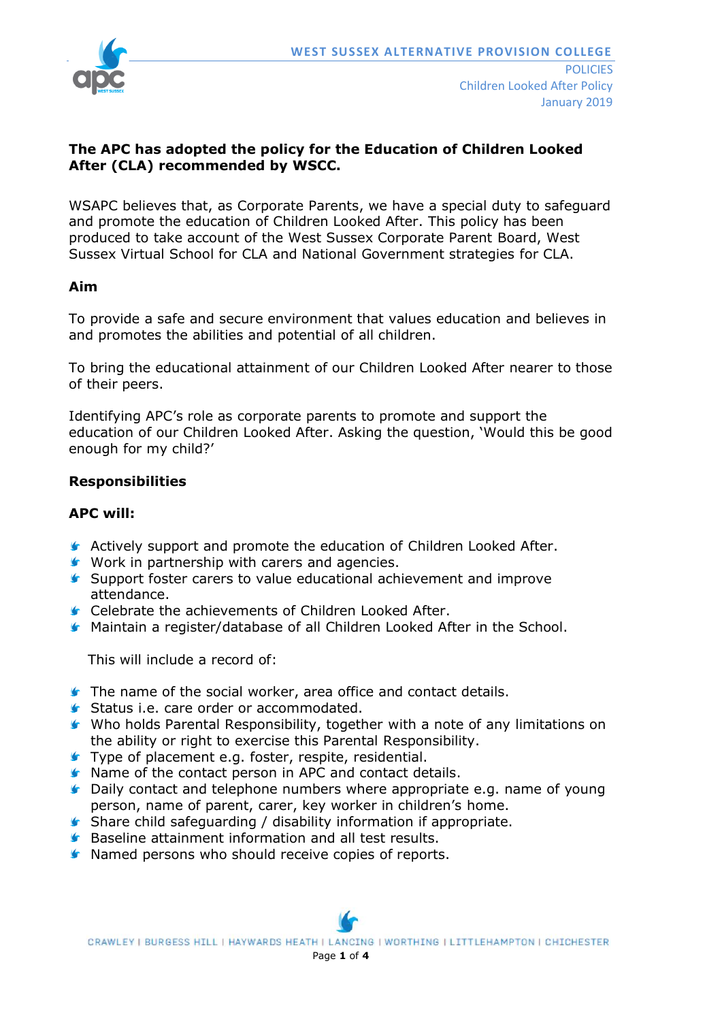

### **The APC has adopted the policy for the Education of Children Looked After (CLA) recommended by WSCC.**

WSAPC believes that, as Corporate Parents, we have a special duty to safeguard and promote the education of Children Looked After. This policy has been produced to take account of the West Sussex Corporate Parent Board, West Sussex Virtual School for CLA and National Government strategies for CLA.

#### **Aim**

To provide a safe and secure environment that values education and believes in and promotes the abilities and potential of all children.

To bring the educational attainment of our Children Looked After nearer to those of their peers.

Identifying APC's role as corporate parents to promote and support the education of our Children Looked After. Asking the question, 'Would this be good enough for my child?'

#### **Responsibilities**

#### **APC will:**

- Actively support and promote the education of Children Looked After.
- Work in partnership with carers and agencies.
- Support foster carers to value educational achievement and improve attendance.
- **Celebrate the achievements of Children Looked After.**
- Maintain a register/database of all Children Looked After in the School.

This will include a record of:

- The name of the social worker, area office and contact details.
- Status i.e. care order or accommodated.
- Who holds Parental Responsibility, together with a note of any limitations on the ability or right to exercise this Parental Responsibility.
- **Type of placement e.g. foster, respite, residential.**
- **K** Name of the contact person in APC and contact details.
- **C** Daily contact and telephone numbers where appropriate e.g. name of young person, name of parent, carer, key worker in children's home.
- Share child safeguarding / disability information if appropriate.
- **Baseline attainment information and all test results.**
- **K** Named persons who should receive copies of reports.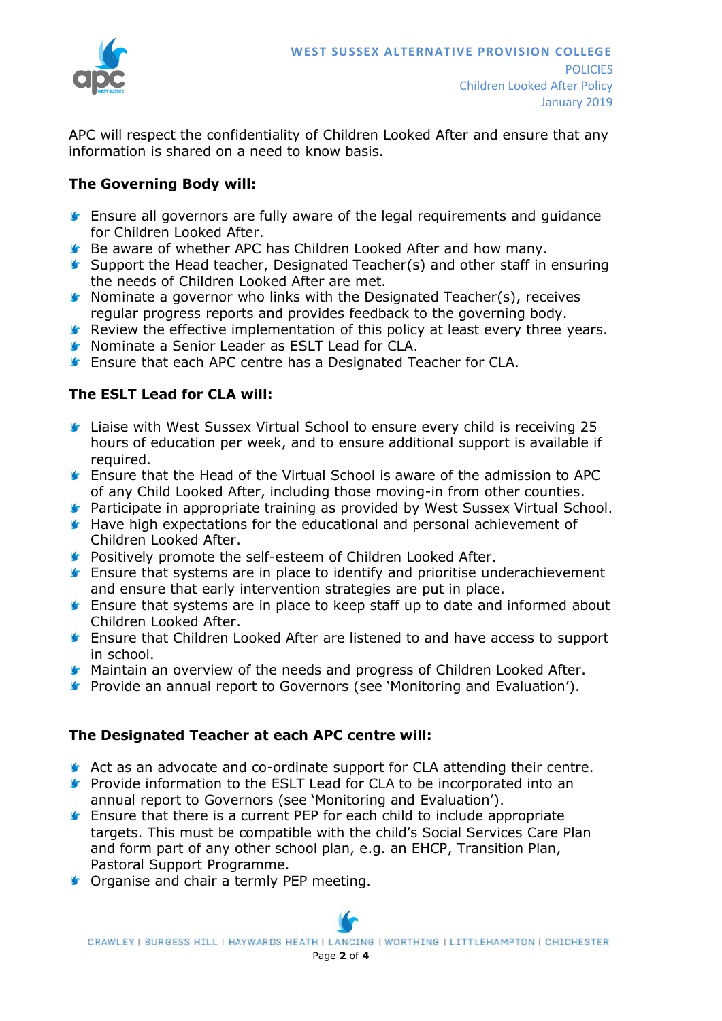

APC will respect the confidentiality of Children Looked After and ensure that any information is shared on a need to know basis.

## **The Governing Body will:**

- **F** Ensure all governors are fully aware of the legal requirements and guidance for Children Looked After.
- **Be aware of whether APC has Children Looked After and how many.**
- Support the Head teacher, Designated Teacher(s) and other staff in ensuring the needs of Children Looked After are met.
- $\blacktriangleright$  Nominate a governor who links with the Designated Teacher(s), receives regular progress reports and provides feedback to the governing body.
- **F** Review the effective implementation of this policy at least every three years.
- **S** Nominate a Senior Leader as ESLT Lead for CLA.
- **F** Ensure that each APC centre has a Designated Teacher for CLA.

# **The ESLT Lead for CLA will:**

- Liaise with West Sussex Virtual School to ensure every child is receiving 25 hours of education per week, and to ensure additional support is available if required.
- Ensure that the Head of the Virtual School is aware of the admission to APC of any Child Looked After, including those moving-in from other counties.
- **F** Participate in appropriate training as provided by West Sussex Virtual School.
- **Have high expectations for the educational and personal achievement of** Children Looked After.
- **Positively promote the self-esteem of Children Looked After.**
- **Ensure that systems are in place to identify and prioritise underachievement** and ensure that early intervention strategies are put in place.
- **F** Ensure that systems are in place to keep staff up to date and informed about Children Looked After.
- **F** Ensure that Children Looked After are listened to and have access to support in school.
- **K** Maintain an overview of the needs and progress of Children Looked After.
- **Provide an annual report to Governors (see 'Monitoring and Evaluation').**

### **The Designated Teacher at each APC centre will:**

- Act as an advocate and co-ordinate support for CLA attending their centre.
- **F** Provide information to the ESLT Lead for CLA to be incorporated into an annual report to Governors (see 'Monitoring and Evaluation').
- **F** Ensure that there is a current PEP for each child to include appropriate targets. This must be compatible with the child's Social Services Care Plan and form part of any other school plan, e.g. an EHCP, Transition Plan, Pastoral Support Programme.
- **G** Organise and chair a termly PEP meeting.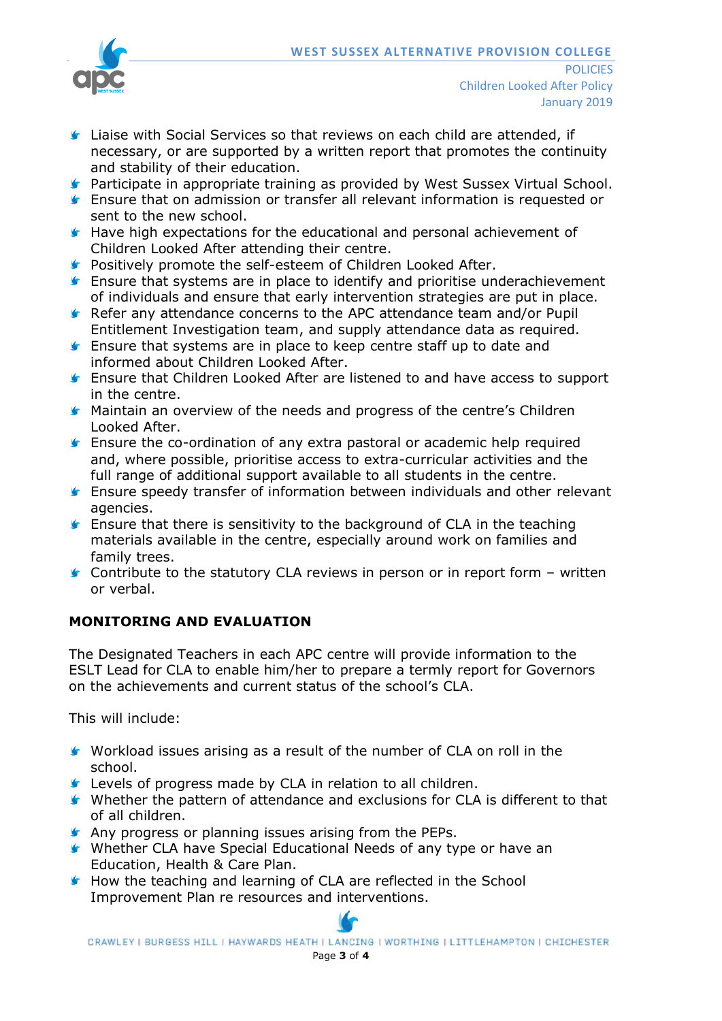

- **Liaise with Social Services so that reviews on each child are attended, if** necessary, or are supported by a written report that promotes the continuity and stability of their education.
- **F** Participate in appropriate training as provided by West Sussex Virtual School.
- Ensure that on admission or transfer all relevant information is requested or sent to the new school.
- **Have high expectations for the educational and personal achievement of** Children Looked After attending their centre.
- **F** Positively promote the self-esteem of Children Looked After.
- **Ensure that systems are in place to identify and prioritise underachievement** of individuals and ensure that early intervention strategies are put in place.
- Refer any attendance concerns to the APC attendance team and/or Pupil Entitlement Investigation team, and supply attendance data as required.
- **F** Ensure that systems are in place to keep centre staff up to date and informed about Children Looked After.
- Ensure that Children Looked After are listened to and have access to support in the centre.
- **K** Maintain an overview of the needs and progress of the centre's Children Looked After.
- **Ensure the co-ordination of any extra pastoral or academic help required** and, where possible, prioritise access to extra-curricular activities and the full range of additional support available to all students in the centre.
- Ensure speedy transfer of information between individuals and other relevant agencies.
- **F** Ensure that there is sensitivity to the background of CLA in the teaching materials available in the centre, especially around work on families and family trees.
- $\blacktriangleright$  Contribute to the statutory CLA reviews in person or in report form written or verbal.

# **MONITORING AND EVALUATION**

The Designated Teachers in each APC centre will provide information to the ESLT Lead for CLA to enable him/her to prepare a termly report for Governors on the achievements and current status of the school's CLA.

This will include:

- Workload issues arising as a result of the number of CLA on roll in the school.
- Levels of progress made by CLA in relation to all children.
- Whether the pattern of attendance and exclusions for CLA is different to that of all children.
- **Any progress or planning issues arising from the PEPs.**
- Whether CLA have Special Educational Needs of any type or have an Education, Health & Care Plan.
- **How the teaching and learning of CLA are reflected in the School** Improvement Plan re resources and interventions.